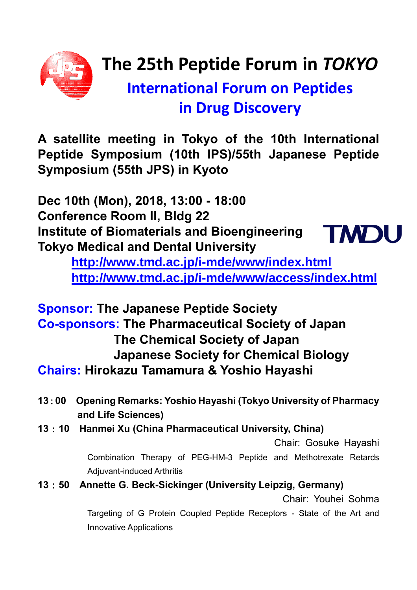

# **The 25th Peptide Forum in** *TOKYO*

# **International Forum on Peptides in Drug Discovery**

**A satellite meeting in Tokyo of the 10th International Peptide Symposium (10th IPS)/55th Japanese Peptide Symposium (55th JPS) in Kyoto**

**Dec 10th (Mon), 2018, 13:00 - 18:00 Conference Room II, Bldg 22 Institute of Biomaterials and Bioengineering Tokyo Medical and Dental University**



**<http://www.tmd.ac.jp/i-mde/www/index.html> <http://www.tmd.ac.jp/i-mde/www/access/index.html>**

**Sponsor: The Japanese Peptide Society Co-sponsors: The Pharmaceutical Society of Japan The Chemical Society of Japan Japanese Society for Chemical Biology Chairs: Hirokazu Tamamura & Yoshio Hayashi**

- **13**:**00 Opening Remarks: Yoshio Hayashi (Tokyo University of Pharmacy and Life Sciences)**
- **13**:**10 Hanmei Xu (China Pharmaceutical University, China)**

Chair: Gosuke Hayashi

Combination Therapy of PEG-HM-3 Peptide and Methotrexate Retards Adjuvant-induced Arthritis

**13**:**50 Annette G. Beck-Sickinger (University Leipzig, Germany)**

Chair: Youhei Sohma

Targeting of G Protein Coupled Peptide Receptors - State of the Art and Innovative Applications